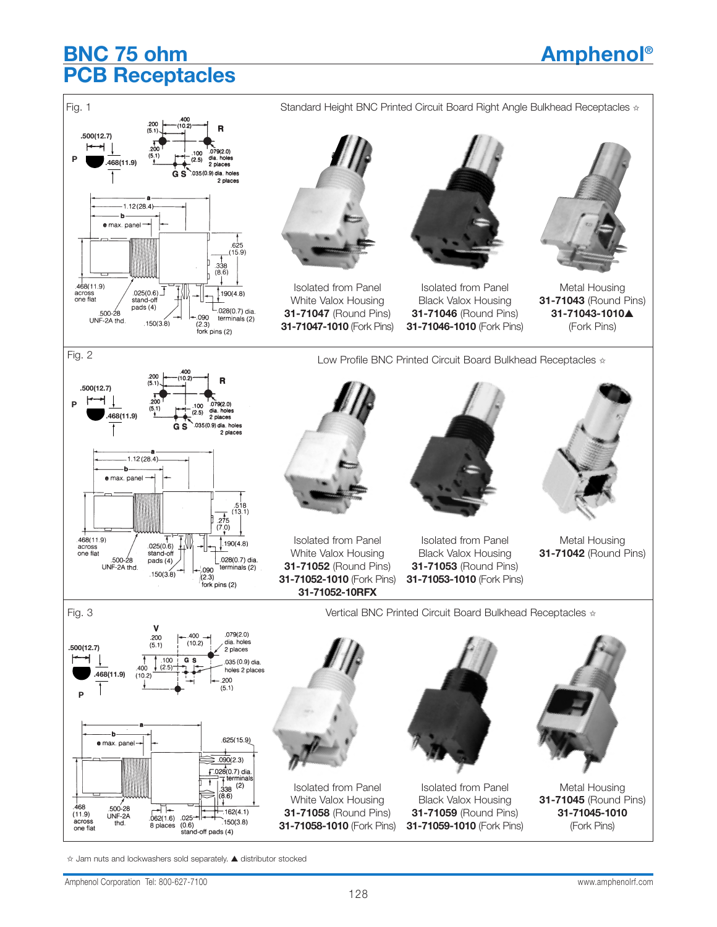## **BNC 75 ohm Amphenol® PCB Receptacles**



✩ Jam nuts and lockwashers sold separately. ▲ distributor stocked